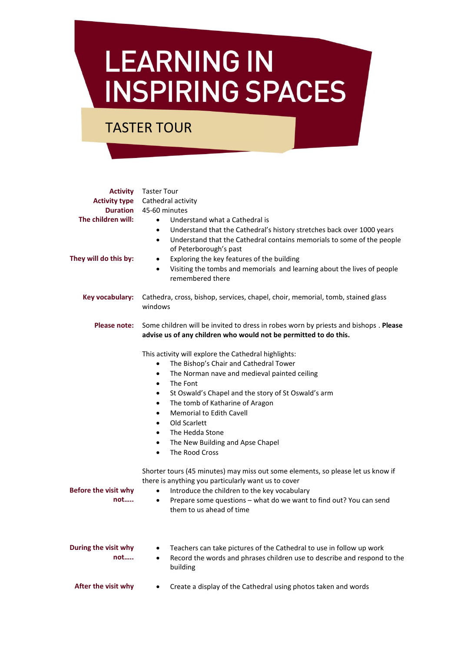## **LEARNING IN INSPIRING SPACES**

TASTER TOUR

| <b>Activity type</b><br><b>Duration</b><br>The children will:<br>They will do this by: | <b>Activity</b> Taster Tour<br>Cathedral activity<br>45-60 minutes<br>Understand what a Cathedral is<br>$\bullet$<br>Understand that the Cathedral's history stretches back over 1000 years<br>$\bullet$<br>Understand that the Cathedral contains memorials to some of the people<br>$\bullet$<br>of Peterborough's past<br>Exploring the key features of the building<br>$\bullet$<br>Visiting the tombs and memorials and learning about the lives of people<br>$\bullet$<br>remembered there                   |
|----------------------------------------------------------------------------------------|--------------------------------------------------------------------------------------------------------------------------------------------------------------------------------------------------------------------------------------------------------------------------------------------------------------------------------------------------------------------------------------------------------------------------------------------------------------------------------------------------------------------|
| Key vocabulary:                                                                        | Cathedra, cross, bishop, services, chapel, choir, memorial, tomb, stained glass<br>windows                                                                                                                                                                                                                                                                                                                                                                                                                         |
| Please note:                                                                           | Some children will be invited to dress in robes worn by priests and bishops . Please<br>advise us of any children who would not be permitted to do this.                                                                                                                                                                                                                                                                                                                                                           |
|                                                                                        | This activity will explore the Cathedral highlights:<br>The Bishop's Chair and Cathedral Tower<br>$\bullet$<br>The Norman nave and medieval painted ceiling<br>$\bullet$<br>The Font<br>$\bullet$<br>St Oswald's Chapel and the story of St Oswald's arm<br>$\bullet$<br>The tomb of Katharine of Aragon<br>$\bullet$<br><b>Memorial to Edith Cavell</b><br>$\bullet$<br>Old Scarlett<br>$\bullet$<br>The Hedda Stone<br>$\bullet$<br>The New Building and Apse Chapel<br>$\bullet$<br>The Rood Cross<br>$\bullet$ |
| <b>Before the visit why</b><br>not                                                     | Shorter tours (45 minutes) may miss out some elements, so please let us know if<br>there is anything you particularly want us to cover<br>Introduce the children to the key vocabulary<br>$\bullet$<br>Prepare some questions - what do we want to find out? You can send<br>$\bullet$<br>them to us ahead of time                                                                                                                                                                                                 |
| During the visit why<br>not                                                            | Teachers can take pictures of the Cathedral to use in follow up work<br>Record the words and phrases children use to describe and respond to the<br>$\bullet$<br>building                                                                                                                                                                                                                                                                                                                                          |
| After the visit why                                                                    | Create a display of the Cathedral using photos taken and words                                                                                                                                                                                                                                                                                                                                                                                                                                                     |